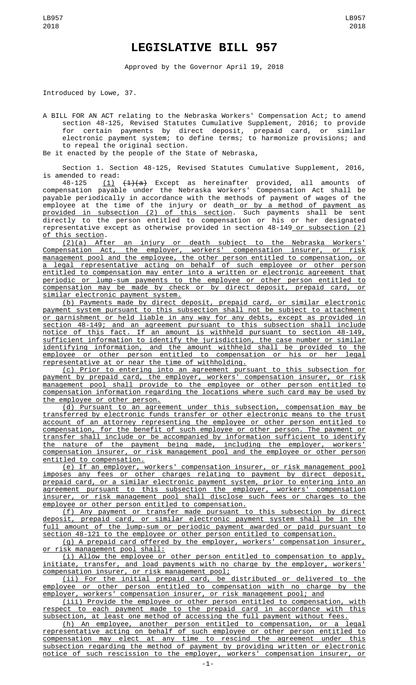## **LEGISLATIVE BILL 957**

Approved by the Governor April 19, 2018

Introduced by Lowe, 37.

A BILL FOR AN ACT relating to the Nebraska Workers' Compensation Act; to amend section 48-125, Revised Statutes Cumulative Supplement, 2016; to provide for certain payments by direct deposit, prepaid card, or similar electronic payment system; to define terms; to harmonize provisions; and to repeal the original section.

Be it enacted by the people of the State of Nebraska,

Section 1. Section 48-125, Revised Statutes Cumulative Supplement, 2016, is amended to read:

48-125 <u>(1)</u> <del>(1)(a)</del> Except as hereinafter provided, all amounts of compensation payable under the Nebraska Workers' Compensation Act shall be payable periodically in accordance with the methods of payment of wages of the employee at the time of the injury or death<u> or by a method of payment as</u> provided in subsection (2) of this section. Such payments shall be sent directly to the person entitled to compensation or his or her designated representative except as otherwise provided in section 48-149 or subsection (2) of this section.

(2)(a) After an injury or death subject to the Nebraska Workers' Compensation Act, the employer, workers' compensation insurer, or risk management pool and the employee, the other person entitled to compensation, or a legal representative acting on behalf of such employee or other person entitled to compensation may enter into a written or electronic agreement that periodic or lump-sum payments to the employee or other person entitled to compensation may be made by check or by direct deposit, prepaid card, or similar electronic payment system.

(b) Payments made by direct deposit, prepaid card, or similar electronic payment system pursuant to this subsection shall not be subject to attachment or garnishment or held liable in any way for any debts, except as provided in section 48-149; and an agreement pursuant to this subsection shall include notice of this fact. If an amount is withheld pursuant to section 48-149, sufficient information to identify the jurisdiction, the case number or similar identifying information, and the amount withheld shall be provided to the employee or other person entitled to compensation or his or her legal representative at or near the time of withholding.

(c) Prior to entering into an agreement pursuant to this subsection for payment by prepaid card, the employer, workers' compensation insurer, or risk management pool shall provide to the employee or other person entitled to compensation information regarding the locations where such card may be used by the employee or other person.

(d) Pursuant to an agreement under this subsection, compensation may be transferred by electronic funds transfer or other electronic means to the trust account of an attorney representing the employee or other person entitled to compensation, for the benefit of such employee or other person. The payment or transfer shall include or be accompanied by information sufficient to identify the nature of the payment being made, including the employer, workers' compensation insurer, or risk management pool and the employee or other person entitled to compensation.

(e) If an employer, workers' compensation insurer, or risk management pool imposes any fees or other charges relating to payment by direct deposit, prepaid card, or a similar electronic payment system, prior to entering into an agreement pursuant to this subsection the employer, workers' compensation insurer, or risk management pool shall disclose such fees or charges to the employee or other person entitled to compensation.

(f) Any payment or transfer made pursuant to this subsection by direct deposit, prepaid card, or similar electronic payment system shall be in the full amount of the lump-sum or periodic payment awarded or paid pursuant to section 48-121 to the employee or other person entitled to compensation.

(g) A prepaid card offered by the employer, workers' compensation insurer, or risk management pool shall:

(i) Allow the employee or other person entitled to compensation to apply, initiate, transfer, and load payments with no charge by the employer, workers' compensation insurer, or risk management pool;

(ii) For the initial prepaid card, be distributed or delivered to the employee or other person entitled to compensation with no charge by the employer, workers' compensation insurer, or risk management pool; and employer, workers' compensation insurer, or risk management pool; and

(iii) Provide the employee or other person entitled to compensation, with respect to each payment made to the prepaid card in accordance with this subsection, at least one method of accessing the full payment without fees.

(h) An employee, another person entitled to compensation, or a legal representative acting on behalf of such employee or other person entitled to compensation may elect at any time to rescind the agreement under this subsection regarding the method of payment by providing written or electronic notice of such rescission to the employer, workers' compensation insurer, or